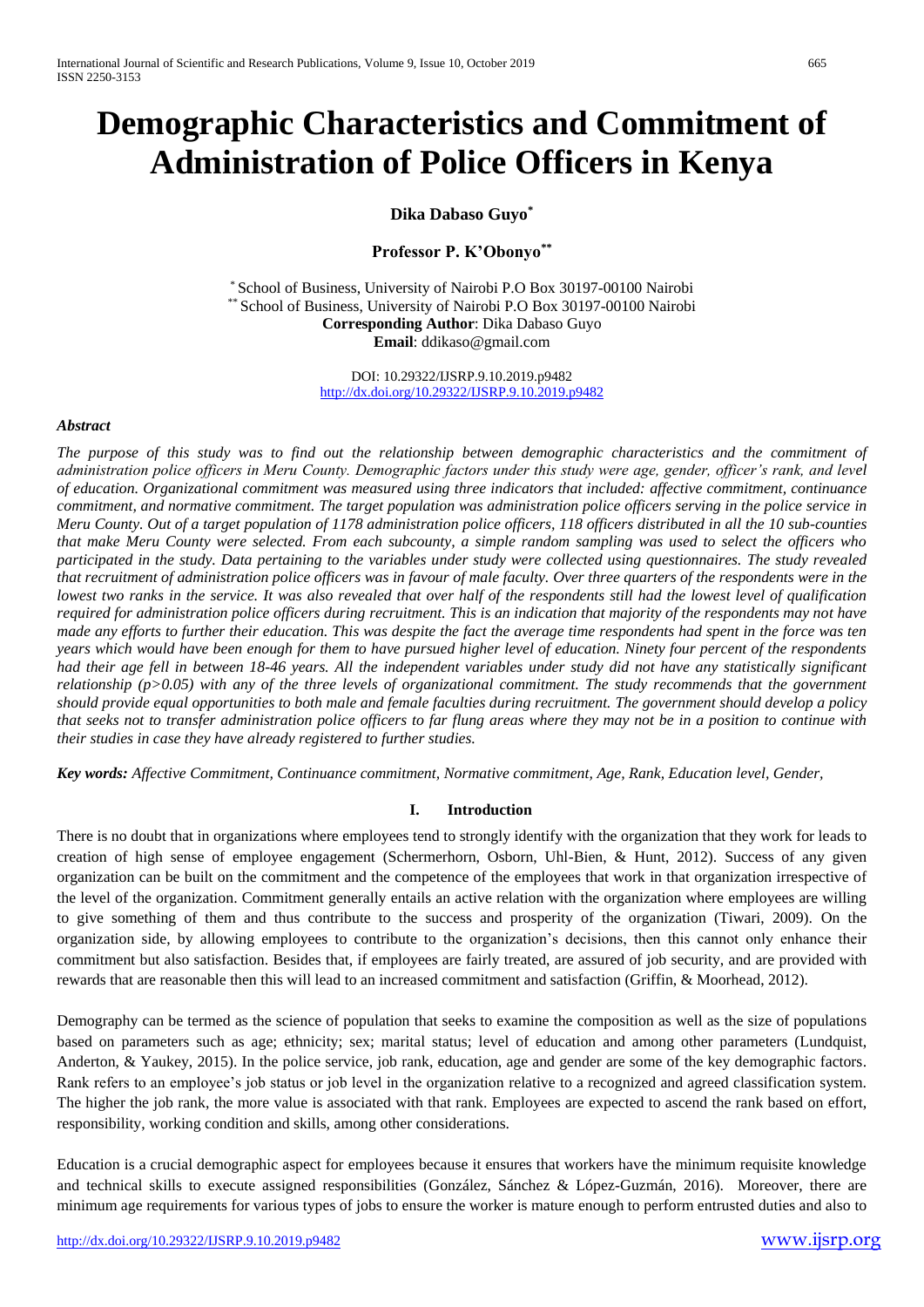# **Demographic Characteristics and Commitment of Administration of Police Officers in Kenya**

**Dika Dabaso Guyo\***

**Professor P. K'Obonyo\*\***

\* School of Business, University of Nairobi P.O Box 30197-00100 Nairobi \*\* School of Business, University of Nairobi P.O Box 30197-00100 Nairobi **Corresponding Author**: Dika Dabaso Guyo **Email**: ddikaso@gmail.com

> DOI: 10.29322/IJSRP.9.10.2019.p9482 <http://dx.doi.org/10.29322/IJSRP.9.10.2019.p9482>

#### *Abstract*

*The purpose of this study was to find out the relationship between demographic characteristics and the commitment of administration police officers in Meru County. Demographic factors under this study were age, gender, officer's rank, and level of education. Organizational commitment was measured using three indicators that included: affective commitment, continuance commitment, and normative commitment. The target population was administration police officers serving in the police service in Meru County. Out of a target population of 1178 administration police officers, 118 officers distributed in all the 10 sub-counties that make Meru County were selected. From each subcounty, a simple random sampling was used to select the officers who participated in the study. Data pertaining to the variables under study were collected using questionnaires. The study revealed that recruitment of administration police officers was in favour of male faculty. Over three quarters of the respondents were in the lowest two ranks in the service. It was also revealed that over half of the respondents still had the lowest level of qualification required for administration police officers during recruitment. This is an indication that majority of the respondents may not have made any efforts to further their education. This was despite the fact the average time respondents had spent in the force was ten years which would have been enough for them to have pursued higher level of education. Ninety four percent of the respondents had their age fell in between 18-46 years. All the independent variables under study did not have any statistically significant relationship (p>0.05) with any of the three levels of organizational commitment. The study recommends that the government should provide equal opportunities to both male and female faculties during recruitment. The government should develop a policy that seeks not to transfer administration police officers to far flung areas where they may not be in a position to continue with their studies in case they have already registered to further studies.*

*Key words: Affective Commitment, Continuance commitment, Normative commitment, Age, Rank, Education level, Gender,*

# **I. Introduction**

There is no doubt that in organizations where employees tend to strongly identify with the organization that they work for leads to creation of high sense of employee engagement (Schermerhorn, Osborn, Uhl-Bien, & Hunt, 2012). Success of any given organization can be built on the commitment and the competence of the employees that work in that organization irrespective of the level of the organization. Commitment generally entails an active relation with the organization where employees are willing to give something of them and thus contribute to the success and prosperity of the organization (Tiwari, 2009). On the organization side, by allowing employees to contribute to the organization's decisions, then this cannot only enhance their commitment but also satisfaction. Besides that, if employees are fairly treated, are assured of job security, and are provided with rewards that are reasonable then this will lead to an increased commitment and satisfaction (Griffin, & Moorhead, 2012).

Demography can be termed as the science of population that seeks to examine the composition as well as the size of populations based on parameters such as age; ethnicity; sex; marital status; level of education and among other parameters (Lundquist, Anderton, & Yaukey, 2015). In the police service, job rank, education, age and gender are some of the key demographic factors. Rank refers to an employee's job status or job level in the organization relative to a recognized and agreed classification system. The higher the job rank, the more value is associated with that rank. Employees are expected to ascend the rank based on effort, responsibility, working condition and skills, among other considerations.

Education is a crucial demographic aspect for employees because it ensures that workers have the minimum requisite knowledge and technical skills to execute assigned responsibilities (González, Sánchez & López-Guzmán, 2016). Moreover, there are minimum age requirements for various types of jobs to ensure the worker is mature enough to perform entrusted duties and also to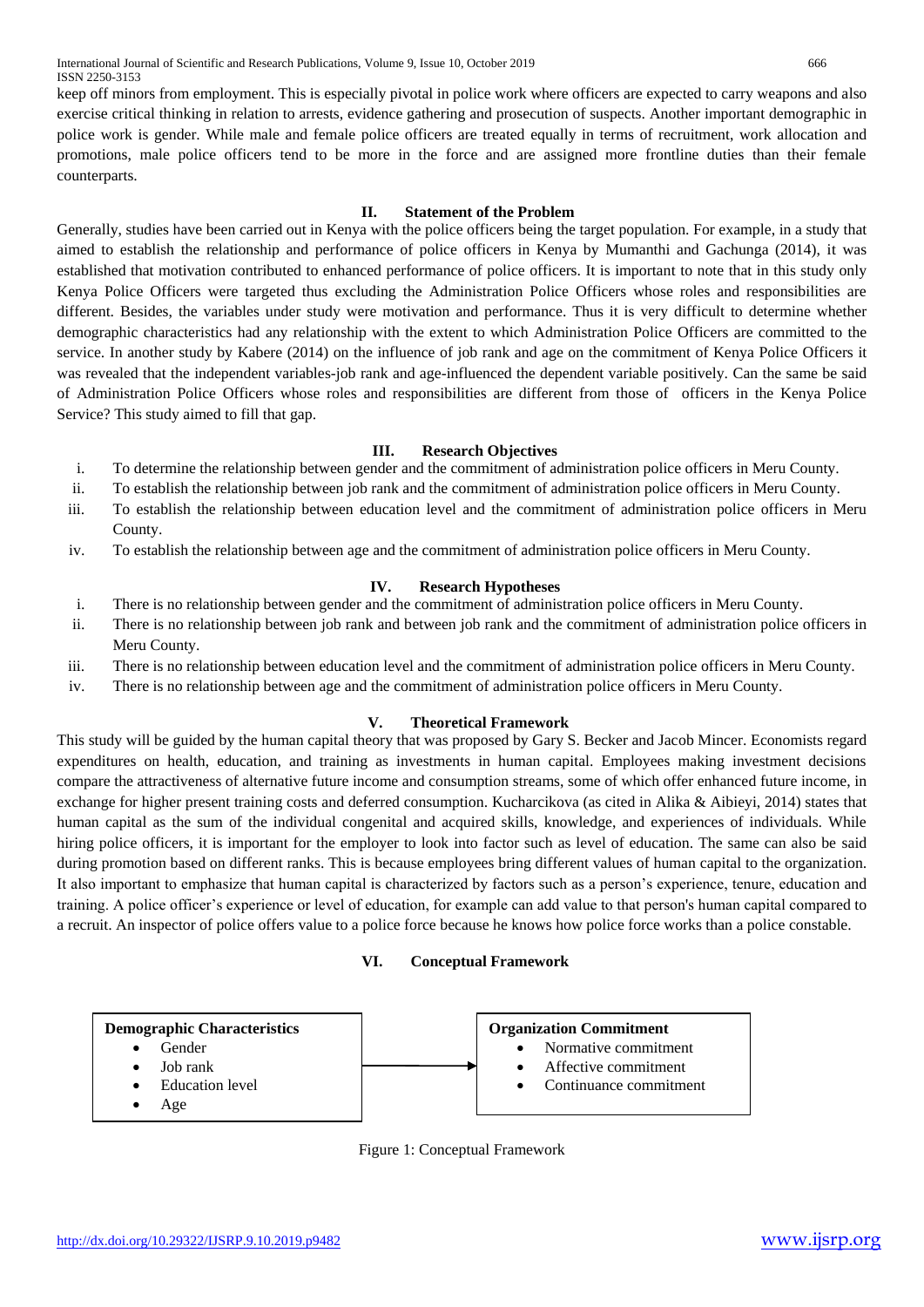keep off minors from employment. This is especially pivotal in police work where officers are expected to carry weapons and also exercise critical thinking in relation to arrests, evidence gathering and prosecution of suspects. Another important demographic in police work is gender. While male and female police officers are treated equally in terms of recruitment, work allocation and promotions, male police officers tend to be more in the force and are assigned more frontline duties than their female counterparts.

# **II. Statement of the Problem**

Generally, studies have been carried out in Kenya with the police officers being the target population. For example, in a study that aimed to establish the relationship and performance of police officers in Kenya by Mumanthi and Gachunga (2014), it was established that motivation contributed to enhanced performance of police officers. It is important to note that in this study only Kenya Police Officers were targeted thus excluding the Administration Police Officers whose roles and responsibilities are different. Besides, the variables under study were motivation and performance. Thus it is very difficult to determine whether demographic characteristics had any relationship with the extent to which Administration Police Officers are committed to the service. In another study by Kabere (2014) on the influence of job rank and age on the commitment of Kenya Police Officers it was revealed that the independent variables-job rank and age-influenced the dependent variable positively. Can the same be said of Administration Police Officers whose roles and responsibilities are different from those of officers in the Kenya Police Service? This study aimed to fill that gap.

# **III. Research Objectives**

- i. To determine the relationship between gender and the commitment of administration police officers in Meru County.
- ii. To establish the relationship between job rank and the commitment of administration police officers in Meru County.
- iii. To establish the relationship between education level and the commitment of administration police officers in Meru County.
- iv. To establish the relationship between age and the commitment of administration police officers in Meru County.

# **IV. Research Hypotheses**

- i. There is no relationship between gender and the commitment of administration police officers in Meru County.
- ii. There is no relationship between job rank and between job rank and the commitment of administration police officers in Meru County.
- iii. There is no relationship between education level and the commitment of administration police officers in Meru County.
- iv. There is no relationship between age and the commitment of administration police officers in Meru County.

# **V. Theoretical Framework**

This study will be guided by the human capital theory that was proposed by Gary S. Becker and Jacob Mincer. Economists regard expenditures on health, education, and training as investments in human capital. Employees making investment decisions compare the attractiveness of alternative future income and consumption streams, some of which offer enhanced future income, in exchange for higher present training costs and deferred consumption. Kucharcikova (as cited in Alika & Aibieyi, 2014) states that human capital as the sum of the individual congenital and acquired skills, knowledge, and experiences of individuals. While hiring police officers, it is important for the employer to look into factor such as level of education. The same can also be said during promotion based on different ranks. This is because employees bring different values of human capital to the organization. It also important to emphasize that human capital is characterized by factors such as a person's experience, tenure, education and training. A police officer's experience or level of education, for example can add value to that person's human capital compared to a recruit. An inspector of police offers value to a police force because he knows how police force works than a police constable.

#### **VI. Conceptual Framework**



Figure 1: Conceptual Framework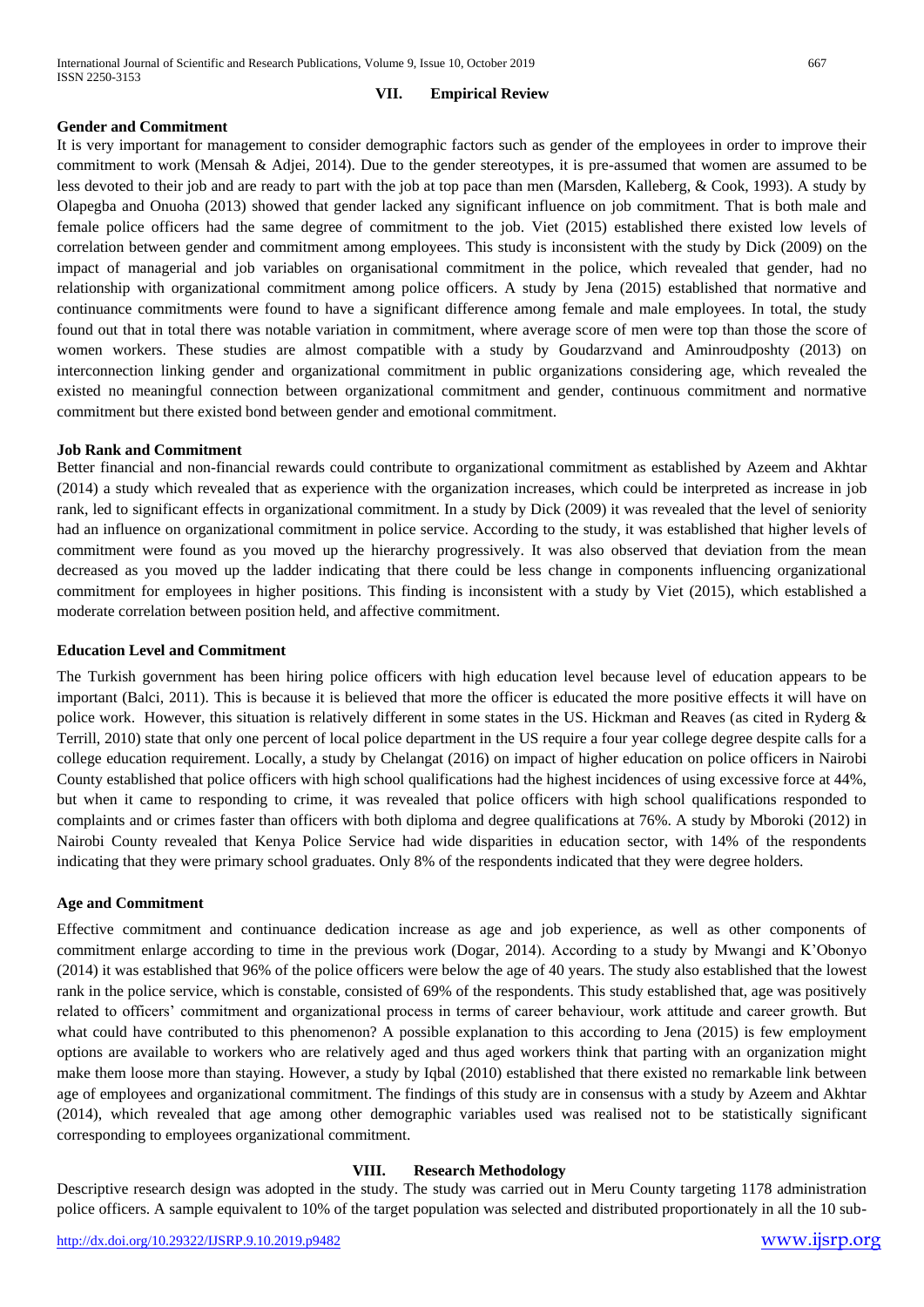# **VII. Empirical Review**

#### **Gender and Commitment**

It is very important for management to consider demographic factors such as gender of the employees in order to improve their commitment to work (Mensah & Adjei, 2014). Due to the gender stereotypes, it is pre-assumed that women are assumed to be less devoted to their job and are ready to part with the job at top pace than men (Marsden, Kalleberg, & Cook, 1993). A study by Olapegba and Onuoha (2013) showed that gender lacked any significant influence on job commitment. That is both male and female police officers had the same degree of commitment to the job. Viet (2015) established there existed low levels of correlation between gender and commitment among employees. This study is inconsistent with the study by Dick (2009) on the impact of managerial and job variables on organisational commitment in the police, which revealed that gender, had no relationship with organizational commitment among police officers. A study by Jena (2015) established that normative and continuance commitments were found to have a significant difference among female and male employees. In total, the study found out that in total there was notable variation in commitment, where average score of men were top than those the score of women workers. These studies are almost compatible with a study by Goudarzvand and Aminroudposhty (2013) on interconnection linking gender and organizational commitment in public organizations considering age, which revealed the existed no meaningful connection between organizational commitment and gender, continuous commitment and normative commitment but there existed bond between gender and emotional commitment.

#### **Job Rank and Commitment**

Better financial and non-financial rewards could contribute to organizational commitment as established by Azeem and Akhtar (2014) a study which revealed that as experience with the organization increases, which could be interpreted as increase in job rank, led to significant effects in organizational commitment. In a study by Dick (2009) it was revealed that the level of seniority had an influence on organizational commitment in police service. According to the study, it was established that higher levels of commitment were found as you moved up the hierarchy progressively. It was also observed that deviation from the mean decreased as you moved up the ladder indicating that there could be less change in components influencing organizational commitment for employees in higher positions. This finding is inconsistent with a study by Viet (2015), which established a moderate correlation between position held, and affective commitment.

#### **Education Level and Commitment**

The Turkish government has been hiring police officers with high education level because level of education appears to be important (Balci, 2011). This is because it is believed that more the officer is educated the more positive effects it will have on police work. However, this situation is relatively different in some states in the US. Hickman and Reaves (as cited in Ryderg & Terrill, 2010) state that only one percent of local police department in the US require a four year college degree despite calls for a college education requirement. Locally, a study by Chelangat (2016) on impact of higher education on police officers in Nairobi County established that police officers with high school qualifications had the highest incidences of using excessive force at 44%, but when it came to responding to crime, it was revealed that police officers with high school qualifications responded to complaints and or crimes faster than officers with both diploma and degree qualifications at 76%. A study by Mboroki (2012) in Nairobi County revealed that Kenya Police Service had wide disparities in education sector, with 14% of the respondents indicating that they were primary school graduates. Only 8% of the respondents indicated that they were degree holders.

#### **Age and Commitment**

Effective commitment and continuance dedication increase as age and job experience, as well as other components of commitment enlarge according to time in the previous work (Dogar, 2014). According to a study by Mwangi and K'Obonyo (2014) it was established that 96% of the police officers were below the age of 40 years. The study also established that the lowest rank in the police service, which is constable, consisted of 69% of the respondents. This study established that, age was positively related to officers' commitment and organizational process in terms of career behaviour, work attitude and career growth. But what could have contributed to this phenomenon? A possible explanation to this according to Jena (2015) is few employment options are available to workers who are relatively aged and thus aged workers think that parting with an organization might make them loose more than staying. However, a study by Iqbal (2010) established that there existed no remarkable link between age of employees and organizational commitment. The findings of this study are in consensus with a study by Azeem and Akhtar (2014), which revealed that age among other demographic variables used was realised not to be statistically significant corresponding to employees organizational commitment.

# **VIII. Research Methodology**

Descriptive research design was adopted in the study. The study was carried out in Meru County targeting 1178 administration police officers. A sample equivalent to 10% of the target population was selected and distributed proportionately in all the 10 sub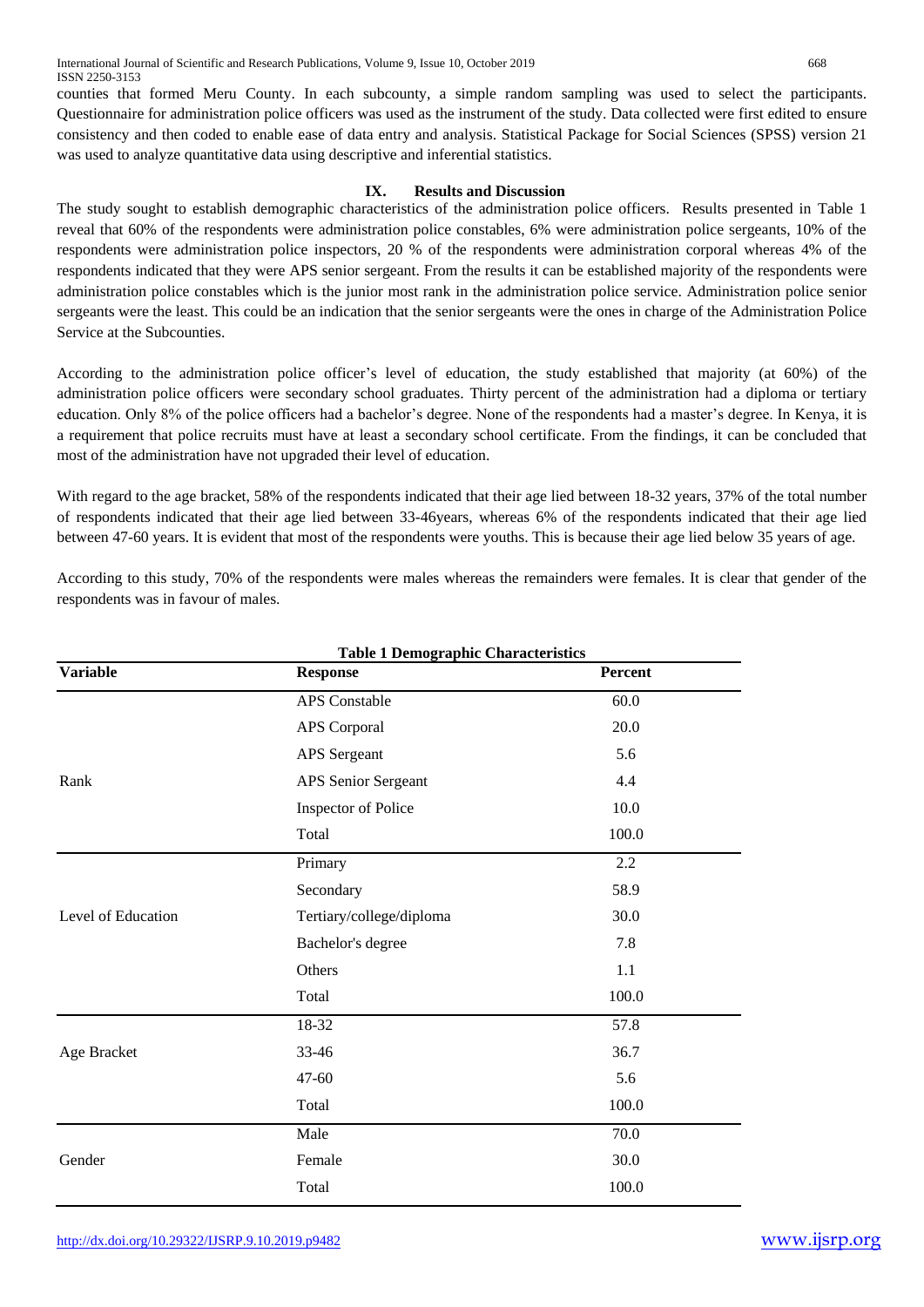counties that formed Meru County. In each subcounty, a simple random sampling was used to select the participants. Questionnaire for administration police officers was used as the instrument of the study. Data collected were first edited to ensure consistency and then coded to enable ease of data entry and analysis. Statistical Package for Social Sciences (SPSS) version 21 was used to analyze quantitative data using descriptive and inferential statistics.

# **IX. Results and Discussion**

The study sought to establish demographic characteristics of the administration police officers. Results presented in Table 1 reveal that 60% of the respondents were administration police constables, 6% were administration police sergeants, 10% of the respondents were administration police inspectors, 20 % of the respondents were administration corporal whereas 4% of the respondents indicated that they were APS senior sergeant. From the results it can be established majority of the respondents were administration police constables which is the junior most rank in the administration police service. Administration police senior sergeants were the least. This could be an indication that the senior sergeants were the ones in charge of the Administration Police Service at the Subcounties.

According to the administration police officer's level of education, the study established that majority (at 60%) of the administration police officers were secondary school graduates. Thirty percent of the administration had a diploma or tertiary education. Only 8% of the police officers had a bachelor's degree. None of the respondents had a master's degree. In Kenya, it is a requirement that police recruits must have at least a secondary school certificate. From the findings, it can be concluded that most of the administration have not upgraded their level of education.

With regard to the age bracket, 58% of the respondents indicated that their age lied between 18-32 years, 37% of the total number of respondents indicated that their age lied between 33-46years, whereas 6% of the respondents indicated that their age lied between 47-60 years. It is evident that most of the respondents were youths. This is because their age lied below 35 years of age.

According to this study, 70% of the respondents were males whereas the remainders were females. It is clear that gender of the respondents was in favour of males.

|                    | <b>Table 1 Demographic Characteristics</b> |         |
|--------------------|--------------------------------------------|---------|
| <b>Variable</b>    | <b>Response</b>                            | Percent |
|                    | APS Constable                              | 60.0    |
|                    | <b>APS</b> Corporal                        | 20.0    |
|                    | <b>APS</b> Sergeant                        | 5.6     |
| Rank               | APS Senior Sergeant                        | 4.4     |
|                    | Inspector of Police                        | 10.0    |
|                    | Total                                      | 100.0   |
|                    | Primary                                    | 2.2     |
|                    | Secondary                                  | 58.9    |
| Level of Education | Tertiary/college/diploma                   | 30.0    |
|                    | Bachelor's degree                          | 7.8     |
|                    | Others                                     | 1.1     |
|                    | Total                                      | 100.0   |
|                    | 18-32                                      | 57.8    |
| Age Bracket        | 33-46                                      | 36.7    |
|                    | 47-60                                      | 5.6     |
|                    | Total                                      | 100.0   |
|                    | Male                                       | 70.0    |
| Gender             | Female                                     | 30.0    |
|                    | Total                                      | 100.0   |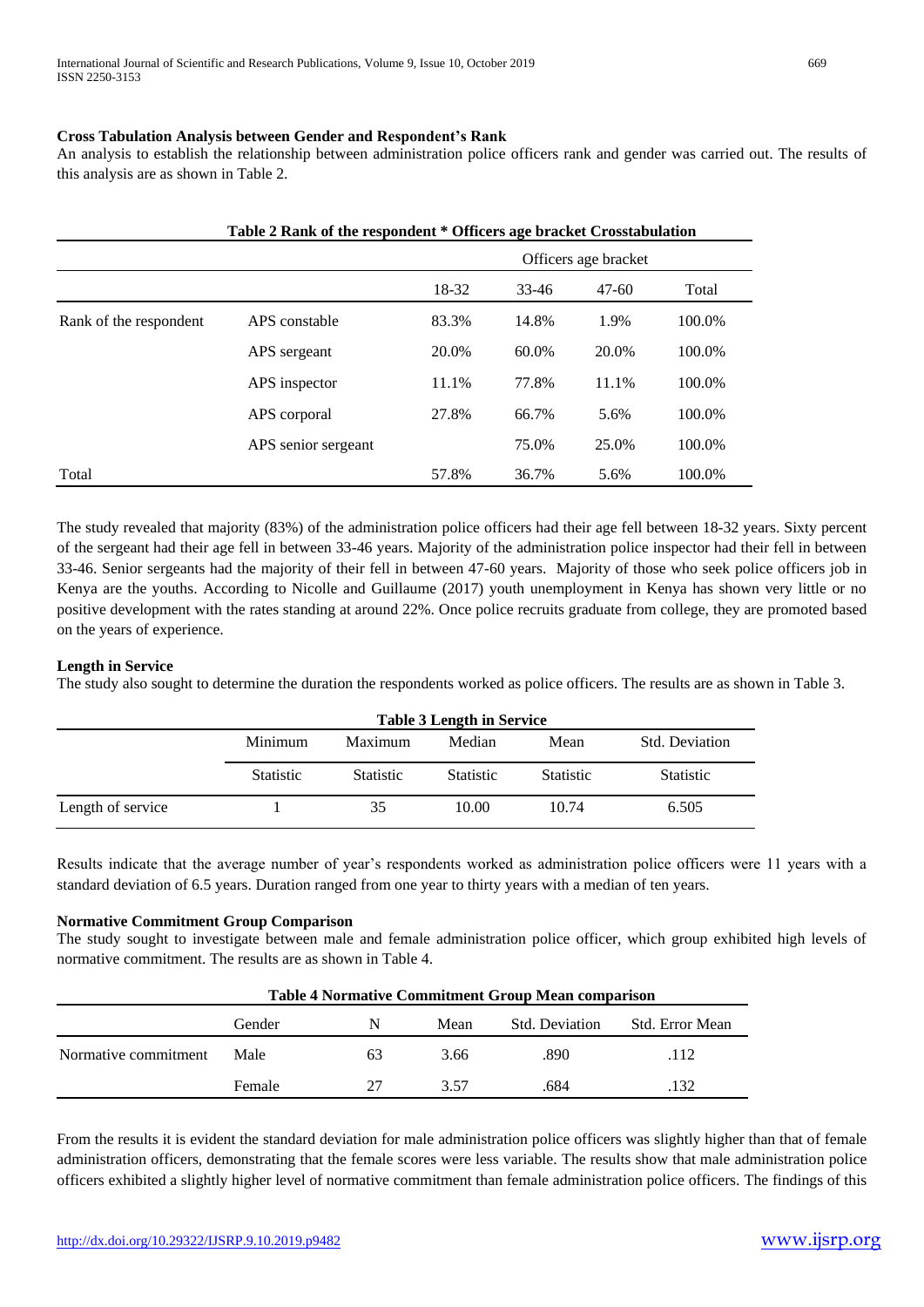# **Cross Tabulation Analysis between Gender and Respondent's Rank**

An analysis to establish the relationship between administration police officers rank and gender was carried out. The results of this analysis are as shown in Table 2.

|                        | Table 2 Rank of the respondent * Officers age bracket Crosstabulation |       |       |                      |        |  |  |  |  |
|------------------------|-----------------------------------------------------------------------|-------|-------|----------------------|--------|--|--|--|--|
|                        |                                                                       |       |       | Officers age bracket |        |  |  |  |  |
|                        |                                                                       | 18-32 | 33-46 | $47-60$              | Total  |  |  |  |  |
| Rank of the respondent | APS constable                                                         | 83.3% | 14.8% | 1.9%                 | 100.0% |  |  |  |  |
|                        | APS sergeant                                                          | 20.0% | 60.0% | 20.0%                | 100.0% |  |  |  |  |
|                        | APS inspector                                                         | 11.1% | 77.8% | 11.1%                | 100.0% |  |  |  |  |
|                        | APS corporal                                                          | 27.8% | 66.7% | 5.6%                 | 100.0% |  |  |  |  |
|                        | APS senior sergeant                                                   |       | 75.0% | 25.0%                | 100.0% |  |  |  |  |
| Total                  |                                                                       | 57.8% | 36.7% | 5.6%                 | 100.0% |  |  |  |  |

The study revealed that majority (83%) of the administration police officers had their age fell between 18-32 years. Sixty percent of the sergeant had their age fell in between 33-46 years. Majority of the administration police inspector had their fell in between 33-46. Senior sergeants had the majority of their fell in between 47-60 years. Majority of those who seek police officers job in Kenya are the youths. According to Nicolle and Guillaume (2017) youth unemployment in Kenya has shown very little or no positive development with the rates standing at around 22%. Once police recruits graduate from college, they are promoted based on the years of experience.

# **Length in Service**

The study also sought to determine the duration the respondents worked as police officers. The results are as shown in Table 3.

|                   |                  | <b>Table 3 Length in Service</b> |                  |                  |                       |  |  |  |  |
|-------------------|------------------|----------------------------------|------------------|------------------|-----------------------|--|--|--|--|
|                   | Minimum          | Maximum                          | Median           | Mean             | <b>Std. Deviation</b> |  |  |  |  |
|                   | <b>Statistic</b> | <b>Statistic</b>                 | <b>Statistic</b> | <b>Statistic</b> | <b>Statistic</b>      |  |  |  |  |
| Length of service |                  | 35                               | 10.00            | 10.74            | 6.505                 |  |  |  |  |

Results indicate that the average number of year's respondents worked as administration police officers were 11 years with a standard deviation of 6.5 years. Duration ranged from one year to thirty years with a median of ten years.

# **Normative Commitment Group Comparison**

The study sought to investigate between male and female administration police officer, which group exhibited high levels of normative commitment. The results are as shown in Table 4.

|                      | <b>Table 4 Normative Commitment Group Mean comparison</b> |    |      |                |                        |  |  |  |
|----------------------|-----------------------------------------------------------|----|------|----------------|------------------------|--|--|--|
|                      | Gender                                                    | N  | Mean | Std. Deviation | <b>Std. Error Mean</b> |  |  |  |
| Normative commitment | Male                                                      | 63 | 3.66 | .890           | .112                   |  |  |  |
|                      | Female                                                    | 27 | 3.57 | .684           | 132                    |  |  |  |

From the results it is evident the standard deviation for male administration police officers was slightly higher than that of female administration officers, demonstrating that the female scores were less variable. The results show that male administration police officers exhibited a slightly higher level of normative commitment than female administration police officers. The findings of this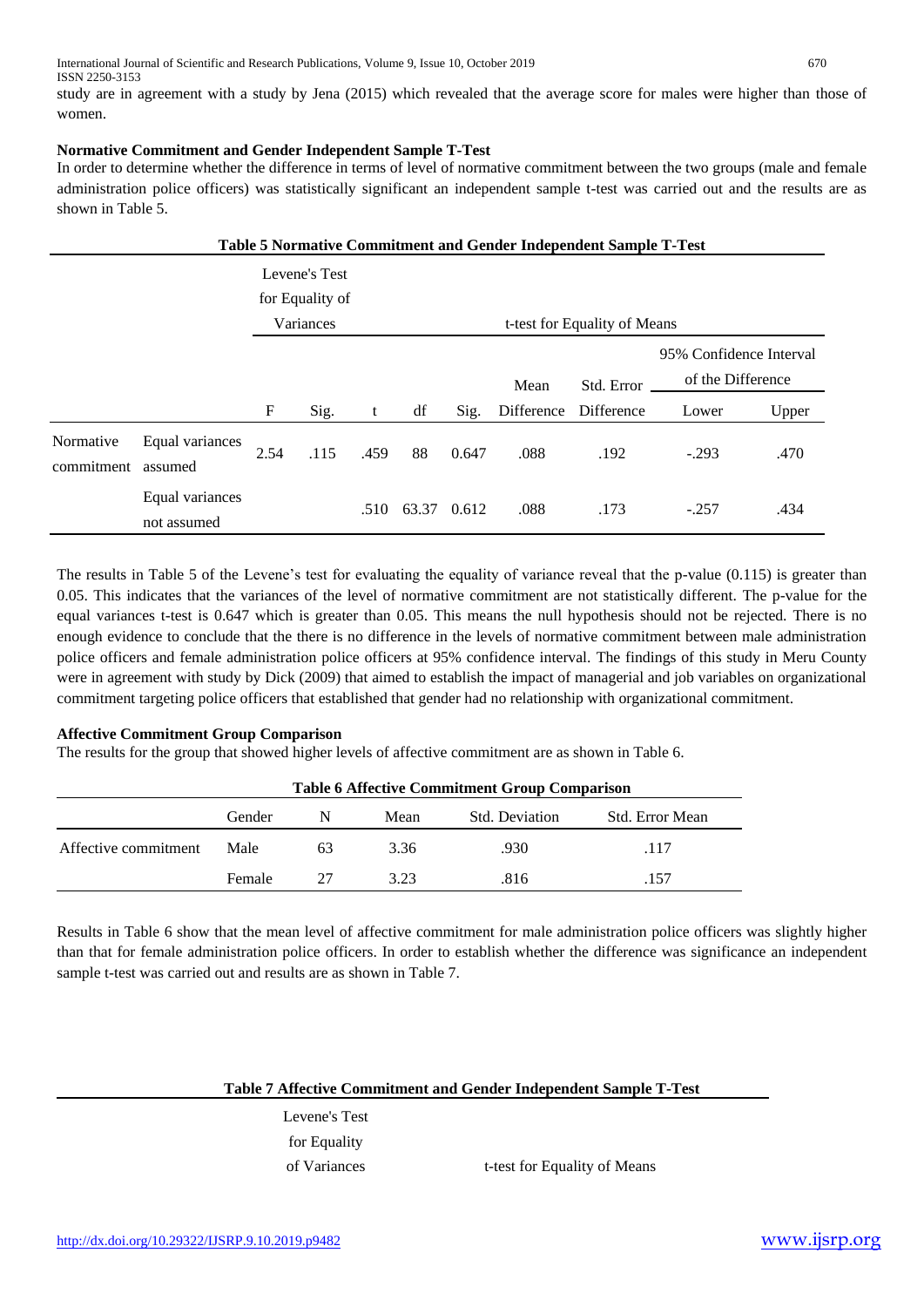study are in agreement with a study by Jena (2015) which revealed that the average score for males were higher than those of women.

# **Normative Commitment and Gender Independent Sample T-Test**

In order to determine whether the difference in terms of level of normative commitment between the two groups (male and female administration police officers) was statistically significant an independent sample t-test was carried out and the results are as shown in Table 5.

|                         | Table 5 Normative Commitment and Gender Independent Sample T-Test |                 |               |      |            |                   |                              |            |                         |       |  |
|-------------------------|-------------------------------------------------------------------|-----------------|---------------|------|------------|-------------------|------------------------------|------------|-------------------------|-------|--|
|                         |                                                                   |                 | Levene's Test |      |            |                   |                              |            |                         |       |  |
|                         |                                                                   | for Equality of |               |      |            |                   |                              |            |                         |       |  |
|                         |                                                                   |                 | Variances     |      |            |                   | t-test for Equality of Means |            |                         |       |  |
|                         |                                                                   |                 |               |      |            |                   |                              |            | 95% Confidence Interval |       |  |
|                         |                                                                   |                 |               | Mean | Std. Error | of the Difference |                              |            |                         |       |  |
|                         |                                                                   | F               | Sig.          | t    | df         | Sig.              | Difference                   | Difference | Lower                   | Upper |  |
| Normative<br>commitment | Equal variances<br>assumed                                        | 2.54            | .115          | .459 | 88         | 0.647             | .088                         | .192       | $-.293$                 | .470  |  |
|                         | Equal variances<br>not assumed                                    |                 |               | .510 | 63.37      | 0.612             | .088                         | .173       | $-.257$                 | .434  |  |

The results in Table 5 of the Levene's test for evaluating the equality of variance reveal that the p-value (0.115) is greater than 0.05. This indicates that the variances of the level of normative commitment are not statistically different. The p-value for the equal variances t-test is 0.647 which is greater than 0.05. This means the null hypothesis should not be rejected. There is no enough evidence to conclude that the there is no difference in the levels of normative commitment between male administration police officers and female administration police officers at 95% confidence interval. The findings of this study in Meru County were in agreement with study by Dick (2009) that aimed to establish the impact of managerial and job variables on organizational commitment targeting police officers that established that gender had no relationship with organizational commitment.

# **Affective Commitment Group Comparison**

The results for the group that showed higher levels of affective commitment are as shown in Table 6.

|                      | <b>Table 6 Affective Commitment Group Comparison</b> |    |      |                |                 |  |  |  |
|----------------------|------------------------------------------------------|----|------|----------------|-----------------|--|--|--|
|                      | Gender                                               | N  | Mean | Std. Deviation | Std. Error Mean |  |  |  |
| Affective commitment | Male                                                 | 63 | 3.36 | .930.          | .117            |  |  |  |
|                      | Female                                               | 27 | 3.23 | .816           | .157            |  |  |  |

Results in Table 6 show that the mean level of affective commitment for male administration police officers was slightly higher than that for female administration police officers. In order to establish whether the difference was significance an independent sample t-test was carried out and results are as shown in Table 7.

# **Table 7 Affective Commitment and Gender Independent Sample T-Test**

Levene's Test for Equality

of Variances t-test for Equality of Means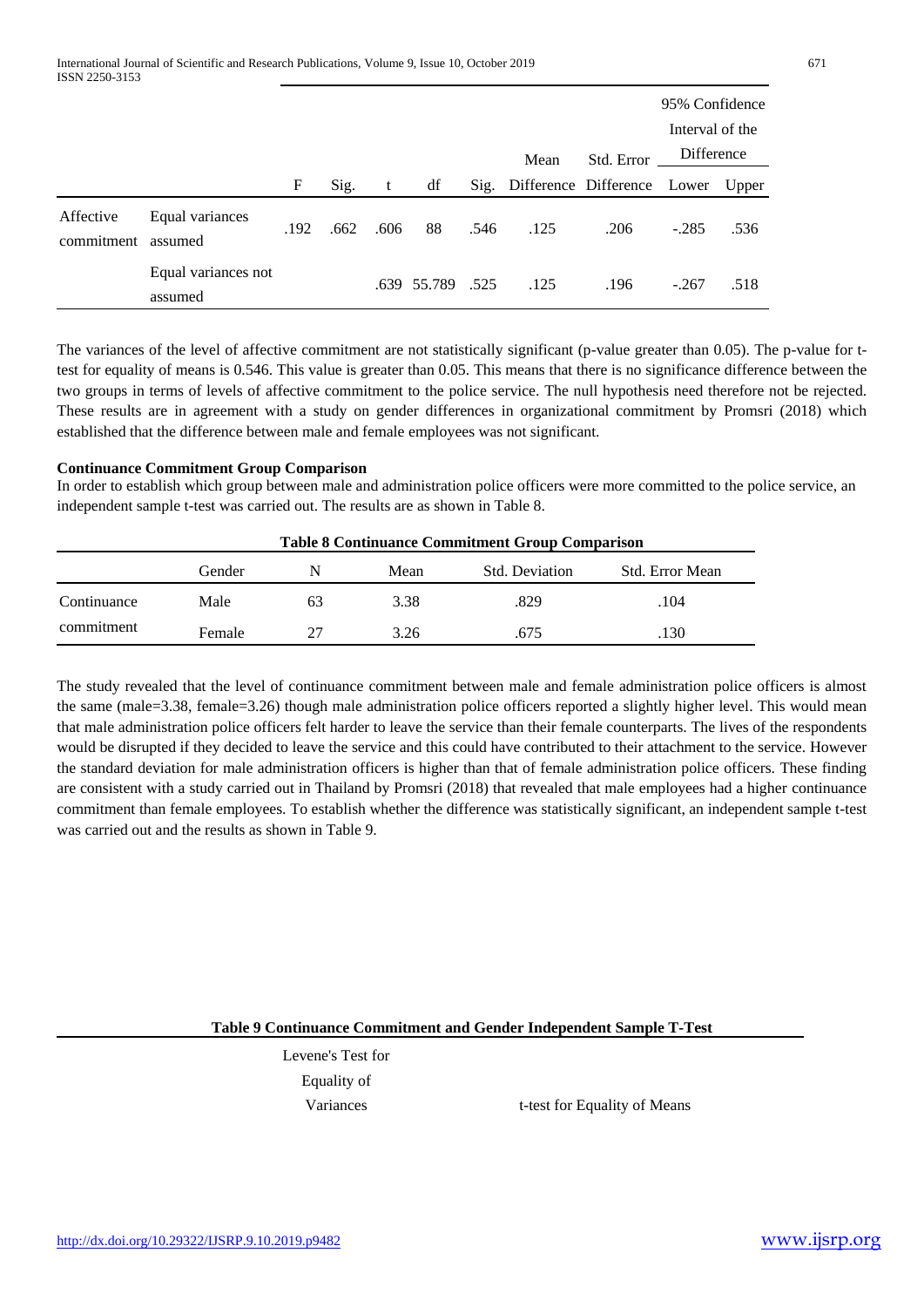|                         |                                |      |      |      |                  |      |                                        |            | 95% Confidence  |      |
|-------------------------|--------------------------------|------|------|------|------------------|------|----------------------------------------|------------|-----------------|------|
|                         |                                |      |      |      |                  |      |                                        |            | Interval of the |      |
|                         |                                |      |      |      |                  |      | Mean                                   | Std. Error | Difference      |      |
|                         |                                | F    | Sig. | t    | df               |      | Sig. Difference Difference Lower Upper |            |                 |      |
| Affective<br>commitment | Equal variances<br>assumed     | .192 | .662 | .606 | 88               | .546 | .125                                   | .206       | $-.285$         | .536 |
|                         | Equal variances not<br>assumed |      |      |      | .639 55.789 .525 |      | .125                                   | .196       | $-.267$         | .518 |

The variances of the level of affective commitment are not statistically significant (p-value greater than 0.05). The p-value for ttest for equality of means is 0.546. This value is greater than 0.05. This means that there is no significance difference between the two groups in terms of levels of affective commitment to the police service. The null hypothesis need therefore not be rejected. These results are in agreement with a study on gender differences in organizational commitment by Promsri (2018) which established that the difference between male and female employees was not significant.

# **Continuance Commitment Group Comparison**

In order to establish which group between male and administration police officers were more committed to the police service, an independent sample t-test was carried out. The results are as shown in Table 8.

|             |        | <b>Table 8 Continuance Commitment Group Comparison</b> |      |                |                 |  |  |  |  |  |
|-------------|--------|--------------------------------------------------------|------|----------------|-----------------|--|--|--|--|--|
|             | Gender | N                                                      | Mean | Std. Deviation | Std. Error Mean |  |  |  |  |  |
| Continuance | Male   | 63                                                     | 3.38 | .829           | .104            |  |  |  |  |  |
| commitment  | Female |                                                        | 3.26 | .675           | .130            |  |  |  |  |  |

The study revealed that the level of continuance commitment between male and female administration police officers is almost the same (male=3.38, female=3.26) though male administration police officers reported a slightly higher level. This would mean that male administration police officers felt harder to leave the service than their female counterparts. The lives of the respondents would be disrupted if they decided to leave the service and this could have contributed to their attachment to the service. However the standard deviation for male administration officers is higher than that of female administration police officers. These finding are consistent with a study carried out in Thailand by Promsri (2018) that revealed that male employees had a higher continuance commitment than female employees. To establish whether the difference was statistically significant, an independent sample t-test was carried out and the results as shown in Table 9.

**Table 9 Continuance Commitment and Gender Independent Sample T-Test**

Levene's Test for Equality of

Variances t-test for Equality of Means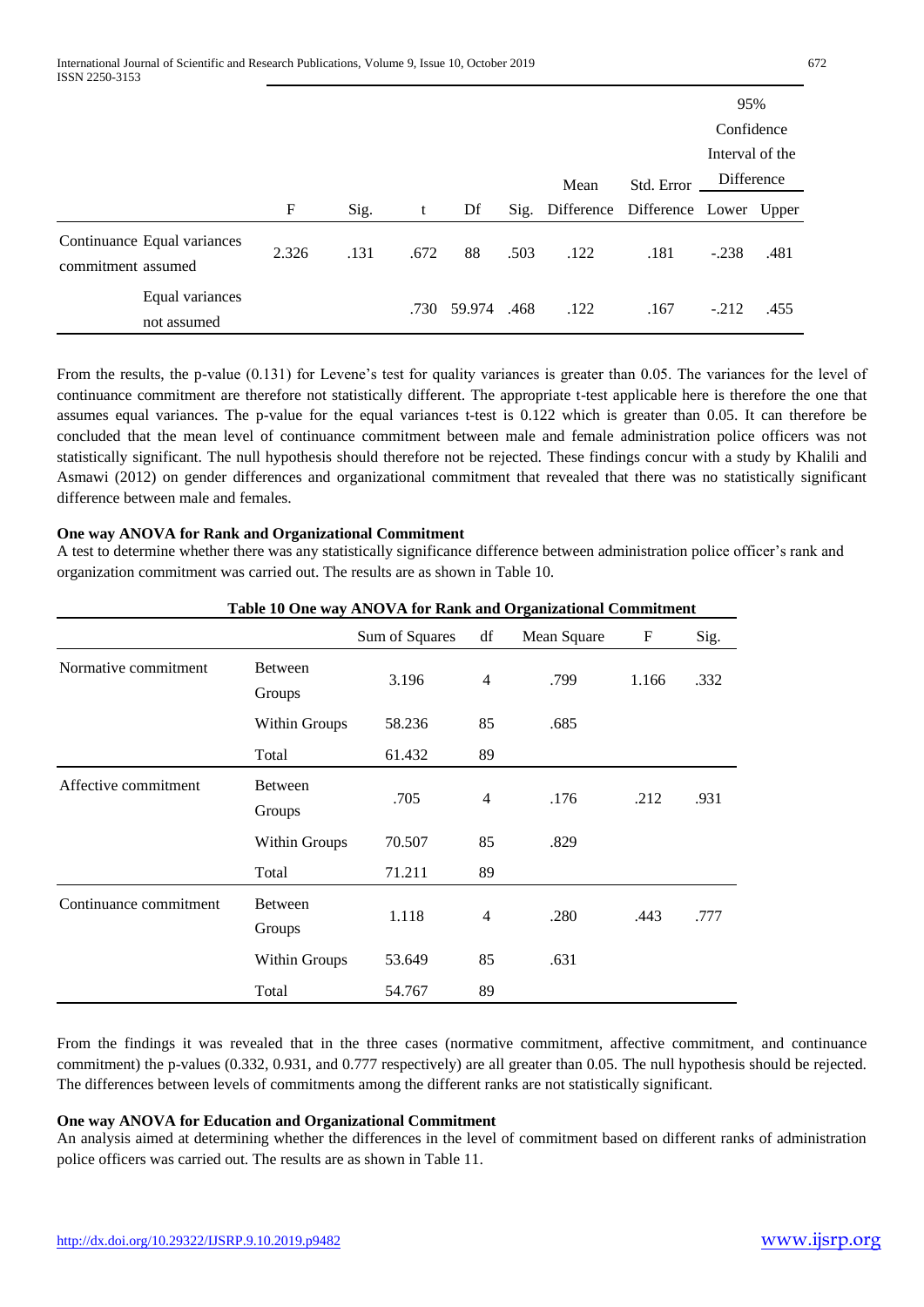|                    |                                |       |      |      |        |      |                                        |            | 95%             |      |
|--------------------|--------------------------------|-------|------|------|--------|------|----------------------------------------|------------|-----------------|------|
|                    |                                |       |      |      |        |      |                                        |            | Confidence      |      |
|                    |                                |       |      |      |        |      |                                        |            | Interval of the |      |
|                    |                                |       |      |      |        |      | Mean                                   | Std. Error | Difference      |      |
|                    |                                | F     | Sig. | t    | Df     |      | Sig. Difference Difference Lower Upper |            |                 |      |
| commitment assumed | Continuance Equal variances    | 2.326 | .131 | .672 | 88     | .503 | .122                                   | .181       | $-.238$         | .481 |
|                    | Equal variances<br>not assumed |       |      | .730 | 59.974 | .468 | .122                                   | .167       | $-.212$         | .455 |

From the results, the p-value (0.131) for Levene's test for quality variances is greater than 0.05. The variances for the level of continuance commitment are therefore not statistically different. The appropriate t-test applicable here is therefore the one that assumes equal variances. The p-value for the equal variances t-test is 0.122 which is greater than 0.05. It can therefore be concluded that the mean level of continuance commitment between male and female administration police officers was not statistically significant. The null hypothesis should therefore not be rejected. These findings concur with a study by Khalili and Asmawi (2012) on gender differences and organizational commitment that revealed that there was no statistically significant difference between male and females.

# **One way ANOVA for Rank and Organizational Commitment**

A test to determine whether there was any statistically significance difference between administration police officer's rank and organization commitment was carried out. The results are as shown in Table 10.

|                        |                          | Sum of Squares | df             | Mean Square | F     | Sig. |
|------------------------|--------------------------|----------------|----------------|-------------|-------|------|
| Normative commitment   | <b>Between</b><br>Groups | 3.196          | $\overline{4}$ | .799        | 1.166 | .332 |
|                        | Within Groups            | 58.236         | 85             | .685        |       |      |
|                        | Total                    | 61.432         | 89             |             |       |      |
| Affective commitment   | <b>Between</b><br>Groups | .705           | $\overline{4}$ | .176        | .212  | .931 |
|                        | Within Groups            | 70.507         | 85             | .829        |       |      |
|                        | Total                    | 71.211         | 89             |             |       |      |
| Continuance commitment | Between<br>Groups        | 1.118          | $\overline{4}$ | .280        | .443  | .777 |
|                        | Within Groups            | 53.649         | 85             | .631        |       |      |
|                        | Total                    | 54.767         | 89             |             |       |      |

# **Table 10 One way ANOVA for Rank and Organizational Commitment**

From the findings it was revealed that in the three cases (normative commitment, affective commitment, and continuance commitment) the p-values (0.332, 0.931, and 0.777 respectively) are all greater than 0.05. The null hypothesis should be rejected. The differences between levels of commitments among the different ranks are not statistically significant.

#### **One way ANOVA for Education and Organizational Commitment**

An analysis aimed at determining whether the differences in the level of commitment based on different ranks of administration police officers was carried out. The results are as shown in Table 11.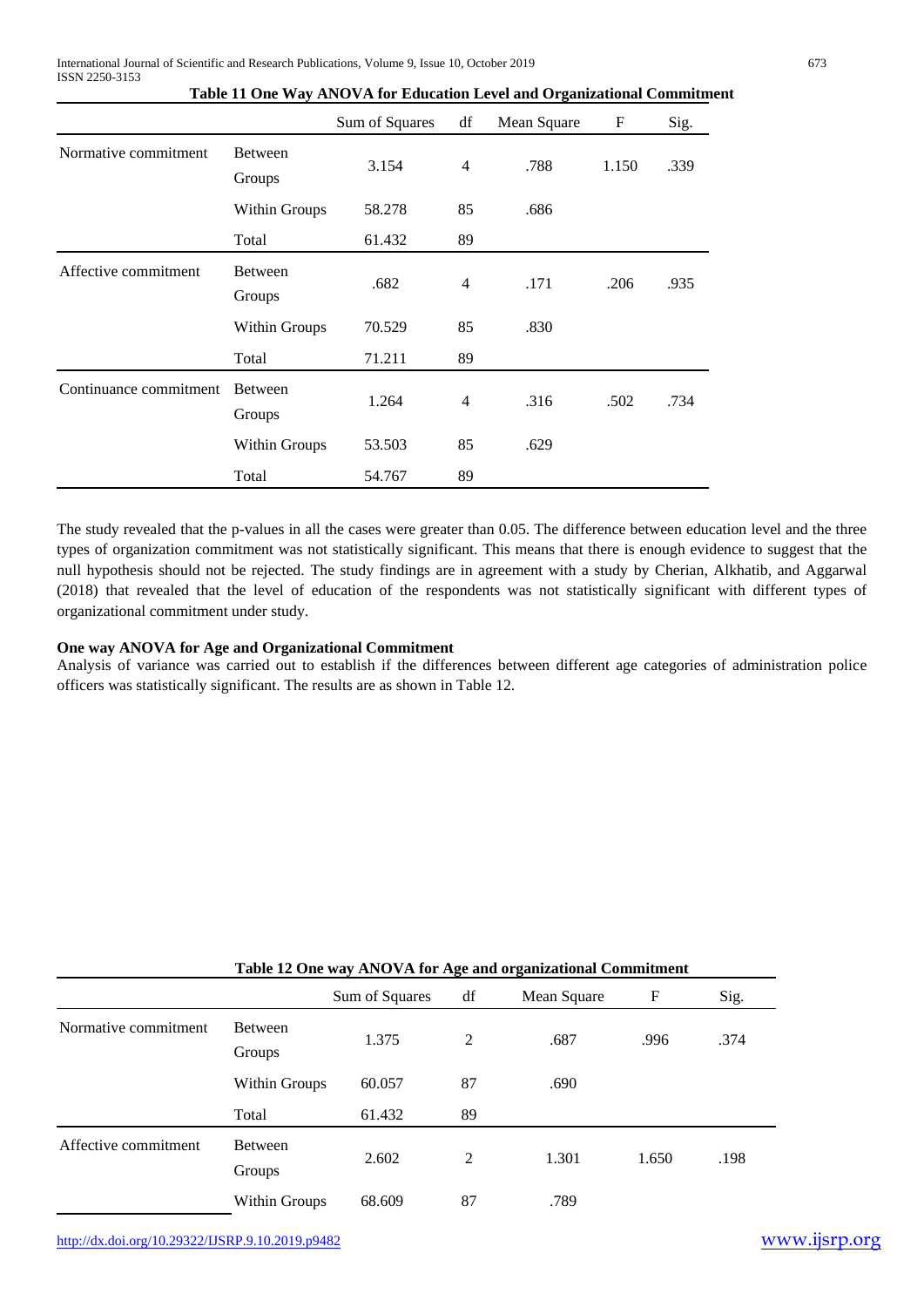|                        |                   | Sum of Squares | df             | Mean Square | F     | Sig. |
|------------------------|-------------------|----------------|----------------|-------------|-------|------|
| Normative commitment   | Between<br>Groups | 3.154          | $\overline{4}$ | .788        | 1.150 | .339 |
|                        | Within Groups     | 58.278         | 85             | .686        |       |      |
|                        | Total             | 61.432         | 89             |             |       |      |
| Affective commitment   | Between<br>Groups | .682           | $\overline{4}$ | .171        | .206  | .935 |
|                        | Within Groups     | 70.529         | 85             | .830        |       |      |
|                        | Total             | 71.211         | 89             |             |       |      |
| Continuance commitment | Between<br>Groups | 1.264          | $\overline{4}$ | .316        | .502  | .734 |
|                        | Within Groups     | 53.503         | 85             | .629        |       |      |
|                        | Total             | 54.767         | 89             |             |       |      |

**Table 11 One Way ANOVA for Education Level and Organizational Commitment** 

The study revealed that the p-values in all the cases were greater than 0.05. The difference between education level and the three types of organization commitment was not statistically significant. This means that there is enough evidence to suggest that the null hypothesis should not be rejected. The study findings are in agreement with a study by Cherian, Alkhatib, and Aggarwal (2018) that revealed that the level of education of the respondents was not statistically significant with different types of organizational commitment under study.

# **One way ANOVA for Age and Organizational Commitment**

Analysis of variance was carried out to establish if the differences between different age categories of administration police officers was statistically significant. The results are as shown in Table 12.

|                      |                          | Table 12 One way ANOVA for Age and organizational Commitment |    |             |       |      |  |  |  |  |
|----------------------|--------------------------|--------------------------------------------------------------|----|-------------|-------|------|--|--|--|--|
|                      |                          | Sum of Squares                                               | df | Mean Square | F     | Sig. |  |  |  |  |
| Normative commitment | <b>Between</b><br>Groups | 1.375                                                        | 2  | .687        | .996  | .374 |  |  |  |  |
|                      | Within Groups            | 60.057                                                       | 87 | .690        |       |      |  |  |  |  |
|                      | Total                    | 61.432                                                       | 89 |             |       |      |  |  |  |  |
| Affective commitment | Between<br>Groups        | 2.602                                                        | 2  | 1.301       | 1.650 | .198 |  |  |  |  |
|                      | Within Groups            | 68.609                                                       | 87 | .789        |       |      |  |  |  |  |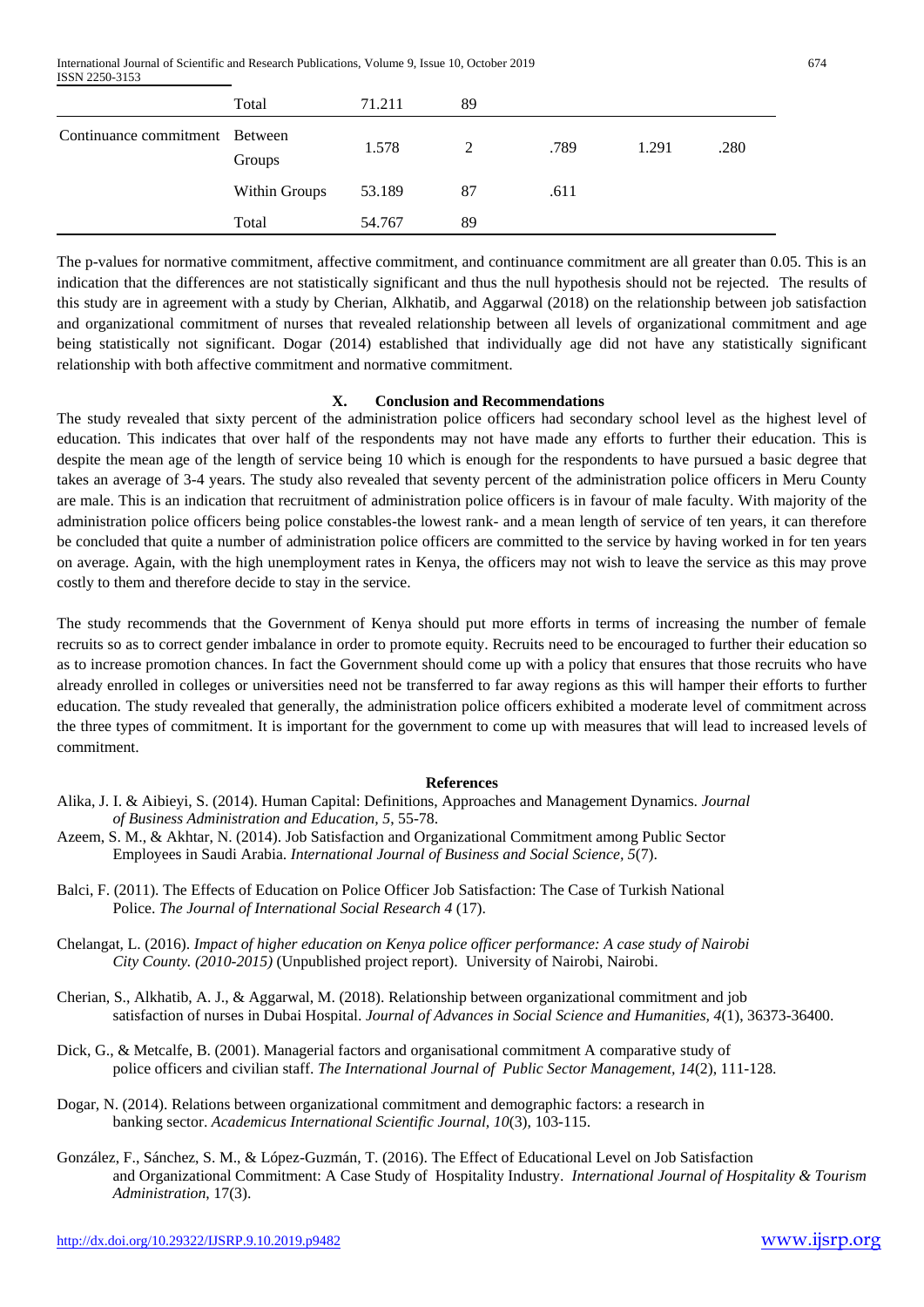International Journal of Scientific and Research Publications, Volume 9, Issue 10, October 2019 674 ISSN 2250-3153

|                                | Total         | 71.211 | 89 |      |       |      |
|--------------------------------|---------------|--------|----|------|-------|------|
| Continuance commitment Between | Groups        | 1.578  | 2  | .789 | 1.291 | .280 |
|                                | Within Groups | 53.189 | 87 | .611 |       |      |
|                                | Total         | 54.767 | 89 |      |       |      |

The p-values for normative commitment, affective commitment, and continuance commitment are all greater than 0.05. This is an indication that the differences are not statistically significant and thus the null hypothesis should not be rejected. The results of this study are in agreement with a study by Cherian, Alkhatib, and Aggarwal (2018) on the relationship between job satisfaction and organizational commitment of nurses that revealed relationship between all levels of organizational commitment and age being statistically not significant. Dogar (2014) established that individually age did not have any statistically significant relationship with both affective commitment and normative commitment.

#### **X. Conclusion and Recommendations**

The study revealed that sixty percent of the administration police officers had secondary school level as the highest level of education. This indicates that over half of the respondents may not have made any efforts to further their education. This is despite the mean age of the length of service being 10 which is enough for the respondents to have pursued a basic degree that takes an average of 3-4 years. The study also revealed that seventy percent of the administration police officers in Meru County are male. This is an indication that recruitment of administration police officers is in favour of male faculty. With majority of the administration police officers being police constables-the lowest rank- and a mean length of service of ten years, it can therefore be concluded that quite a number of administration police officers are committed to the service by having worked in for ten years on average. Again, with the high unemployment rates in Kenya, the officers may not wish to leave the service as this may prove costly to them and therefore decide to stay in the service.

The study recommends that the Government of Kenya should put more efforts in terms of increasing the number of female recruits so as to correct gender imbalance in order to promote equity. Recruits need to be encouraged to further their education so as to increase promotion chances. In fact the Government should come up with a policy that ensures that those recruits who have already enrolled in colleges or universities need not be transferred to far away regions as this will hamper their efforts to further education. The study revealed that generally, the administration police officers exhibited a moderate level of commitment across the three types of commitment. It is important for the government to come up with measures that will lead to increased levels of commitment.

#### **References**

- Alika, J. I. & Aibieyi, S. (2014). Human Capital: Definitions, Approaches and Management Dynamics. *Journal of Business Administration and Education, 5*, 55-78.
- Azeem, S. M., & Akhtar, N. (2014). Job Satisfaction and Organizational Commitment among Public Sector Employees in Saudi Arabia. *International Journal of Business and Social Science, 5*(7).
- Balci, F. (2011). The Effects of Education on Police Officer Job Satisfaction: The Case of Turkish National Police. *The Journal of International Social Research 4* (17).
- Chelangat, L. (2016). *Impact of higher education on Kenya police officer performance: A case study of Nairobi City County. (2010-2015)* (Unpublished project report). University of Nairobi, Nairobi.
- Cherian, S., Alkhatib, A. J., & Aggarwal, M. (2018). Relationship between organizational commitment and job satisfaction of nurses in Dubai Hospital. *Journal of Advances in Social Science and Humanities, 4*(1), 36373-36400.
- Dick, G., & Metcalfe, B. (2001). Managerial factors and organisational commitment A comparative study of police officers and civilian staff. *The International Journal of Public Sector Management, 14*(2), 111-128.
- Dogar, N. (2014). Relations between organizational commitment and demographic factors: a research in banking sector. *Academicus International Scientific Journal, 10*(3), 103-115.
- González, F., Sánchez, S. M., & López-Guzmán, T. (2016). The Effect of Educational Level on Job Satisfaction and Organizational Commitment: A Case Study of Hospitality Industry. *International Journal of Hospitality & Tourism Administration*, 17(3).